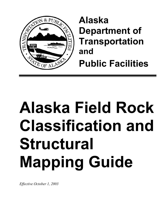

**Alaska Department of Transportation and Public Facilities**

# **Alaska Field Rock Classification and Structural Mapping Guide**

*Effective October 1, 2003*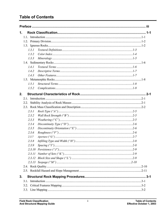# **Table of Contents**

| 1. |       |                             |  |
|----|-------|-----------------------------|--|
|    |       |                             |  |
|    |       |                             |  |
|    |       |                             |  |
|    | 1.3.1 |                             |  |
|    | 1.3.2 |                             |  |
|    | 1.3.3 |                             |  |
|    |       |                             |  |
|    | 1.4.1 |                             |  |
|    | 1.4.2 |                             |  |
|    | 1.4.3 |                             |  |
|    |       |                             |  |
|    | 1.5.1 |                             |  |
|    | 1.5.2 |                             |  |
| 2. |       |                             |  |
|    | 2.1   |                             |  |
|    | 2.2.  |                             |  |
|    |       |                             |  |
|    | 2.3.1 |                             |  |
|    | 2.3.2 |                             |  |
|    | 2.3.3 |                             |  |
|    | 2.3.4 |                             |  |
|    | 2.3.5 |                             |  |
|    | 2.3.6 |                             |  |
|    | 2.3.7 | $Aperture ( "G") \dots 2-7$ |  |
|    | 2.3.8 |                             |  |
|    | 2.3.9 |                             |  |
|    |       |                             |  |
|    |       |                             |  |
|    |       |                             |  |
|    |       |                             |  |
|    |       |                             |  |
|    |       |                             |  |
| 3. |       |                             |  |
|    | 3.1   |                             |  |
|    | 3.2.  |                             |  |
|    |       |                             |  |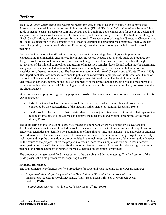# <span id="page-4-0"></span>**Preface**

This *Field Rock Classification and Structural Mapping Guide* is one of a series of guides that comprise the Alaska Department of Transportation and Public Facilities' (DOT&PF) *Geotechnical Procedures Manual*. This guide is meant to assist Department staff and consultants in obtaining geotechnical data for use in the design and analysis of rock slopes, rock excavations for foundations, and rock anchorage features. The first part of this guide (Rock Classification) describes a process for naming rock. The second part of the guide (Structural Characteristics of Rock) is a discussion of the elements of rock mass description and structural rock mapping. Finally, the last part of the guide (Structural Rock Mapping Procedures) provides the methodology for field structural rock mapping.

Both geologic rock type identification (naming) and structural mapping (describing) are important in characterizing rock materials encountered in engineering works, because both provide basic data required for design of rock slopes, rock foundations, and rock anchorage. Rock identification is accomplished through observation of the mineral composition and texture of intact rock samples. Rock identification may be determined using any reasonable accepted system that provides a commonly recognized rock name, but variations on classification schemes are numerous. The Department recommends use of *Classification of Rocks* (Travis, 1955). The Department also recommends reference to publications and works in progress of the International Union of Geological Sciences and their work in standardizing nomenclature of rocks. The level of detail in the identification depends, in part, on the level of complexity of the project and the specific role the rock plays as a foundation or backslope material. The geologist should always describe the rock as completely as possible under the circumstances.

Structural rock mapping for engineering purposes consists of two assessments: one for intact rock and one for its *in situ* character.

- **Intact rock** is a block or fragment of rock free of defects, in which the mechanical properties are controlled by the characteristics of the material, rather than by discontinuities (Hunt, 1984).
- *In situ* rock is the rock mass that contains defects such as joints, fractures, cavities, etc., that separate the rock mass into blocks of intact rock and control the mechanical and hydraulic properties of the mass (Hunt, 1984).

The engineering characteristics of *in situ* rock masses are important where rock slopes or excavations are developed, where structures are founded on rock, or where anchors are set into rock, among other applications. These characteristics are identified by a combination of mapping, testing, and analysis. The geologist or engineer must address these characteristics where rock excavation is planned. At a minimum, the geologist must identify rock types and map the orientation of discontinuities in the rock mass, but the extent of the investigation depends on the nature of the project. Where the project involves no more than a simple low rock cut, a less intensive investigation may be sufficient to identify the important issues. However, for example, where a high rock cut is planned, or a bridge abutment is planned on rock, a detailed investigation is warranted.

The product of the geological field investigation is the data obtained during mapping. The final section of this guide presents the field procedures for acquiring the data.

#### **Principal References**

The four cornerstone references for field procedures for structural rock mapping for the Department are:

- "*Suggested Methods for the Quantitative Description of Discontinuities in Rock Masses,*" International Society for Rock Mechanics, (Int. J. Rock Mech. Min. Sci. & Geomech. Abstr. Vol. 15, 1978)
- *"Foundations on Rock,"* Wyllie, D.C. (E&FN Spon, 2nd Ed. 1999)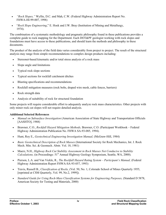- *"Rock Slopes,"* Wyllie, D.C. and Mah, C.W. (Federal Highway Administration Report No. FHWA-HI-99-007, 1998)
- "*Rock Slope Engineering*," E. Hoek and J.W. Bray (Institution of Mining and Metallurgy, 1974).

The combination of a systematic methodology and pragmatic philosophy found in these publications provides a complete guide to rock mapping for the Department. Each DOT&PF geologist working with rock slopes and foundations must have access to these publications, and should learn the methods and philosophy in these documents.

The product of the analysis of the field data varies considerably from project to project. The result of the structural analysis may range from simple recommendations to complex design products including:

- Stereonet-based kinematic and/or total stress analysis of a rock mass
- Slope angle and limitations
- Typical rock slope sections
- Typical sections for rockfall catchment ditches
- Blasting specifications and recommendations
- Rockfall mitigation measures (rock bolts, draped wire mesh, cable fences, barriers)
- Rock strength data
- Analysis of suitability of rock for structural foundation

Some projects will require considerable effort to adequately analyze rock mass characteristics. Other projects with only minor rock cut slopes will not require detailed analysis.

#### **Additional Selected References**

- *Manual on Subsurface Investigation* (American Association of State Highway and Transportation Officials [AASHTO], 1988)
- Brawner, C.O., *Rockfall Hazard Mitigation Methods,* Brawner, C.O. (Participant Workbook Federal Highway Administration Publication No. FHWA SA-93-085, 1994).
- Hunt, Roy E., *Geotechnical Engineering Investigation Manual,* (McGraw-Hill, 1984)
- *Basic Geotechnical Description of Rock Masses* (International Society for Rock Mechanics, Int. J. Rock Mech. Min. Sci. & Geomech. Abstr. Vol. 18, 1981)
- Maerz, N.H., *Highway Rock Cut Stability Assessment in Rock Masses Not Conducive to Stability Calculations,* (in Proceedings: 51<sup>st</sup> Annual Highway Geology Symposium, Seattle, WA, 2000).
- Pierson, L.A. and Van Vickle, R., *The Rockfall Hazard Rating System Participant's Manual,* (Federal Highway Administration Report FHWA-SA-93-057, 1993)
- Travis, Russell B., *Classification of Rocks,* (Vol. 50, No. 1, Colorado School of Mines Quarterly 1955, [reprinted at CSM Quarterly, Vol. 99, No.2, 1999]).
- *Standard Guide for Using Rock-Mass Classification Systems for Engineering Purposes,* (Standard D 5878, American Society for Testing and Materials, 2000)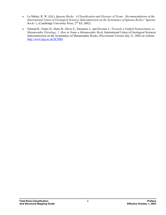- Le Maitre, R. W. (Ed.), *Igneous Rocks: A Classification and Glossary of Terms: Recommendations of the International Union of Geological Sciences Subcommission on the Systematics of Igneous Rocks ("Igneous Rocks"*), (Cambridge University Press, 2<sup>nd</sup> Ed. 2002)
- Schmid R., Fettes D., Harte B., Davis E., Desmons J., and Siivoloa J., *Towards a Unified Nomenclature in Metamorphic Petrology: 1. How to Name a Metamorphic Rock*, International Union of Geological Sciences Subcommission on the Systematics of Metamorphic Rocks, (Provisional Version July 31, 2002 on website [http://www.bgs.ac.uk/SCMR\)](http://www.bgs.ac.uk/SCMR)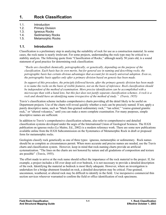# <span id="page-8-0"></span>**1. Rock Classification**

- 1.1. Introduction
- 1.2. Primary Division
- 1.3. Igneous Rocks
- 1.4. Sedimentary Rocks
- 1.5. Metamorphic Rocks

### **1.1. Introduction**

Classification is a preliminary step in analyzing the suitability of rock for use as a construction material. In some cases, the rock name is nearly irrelevant. For some projects, understanding the rock type may be critical to a stability analysis. The following quote from "Classification of Rocks," although nearly 50 years old, is a sound statement of good practice for determining rock classification:

*"Rocks are classified chemically, petrographically, or genetically, depending on the purpose of the classification. Each basis has its own merits, but for general use in naming and describing rocks, the petrographic basis has certain obvious advantages that account for its nearly universal adoption. Even so, the petrographic basis applies only after a primary division based on genesis has been made.* 

*In support of this procedure, the principle followed herein, after the primary genetic division has been made is to name the rocks on the basis of visible features, not on the basis of inference. Rock classification should be independent of the method of examination. More precise identification can be accomplished with a microscope than with a hand lens, but this fact does not justify separate classification schemes. A rock is a rock and should have an identifying name irrespective of the method of study." (Travis, 1955)* 

Travis's classification scheme includes comprehensive charts providing all the detail likely to be useful on Department projects. Use of the charts will reveal quickly whether a rock can be precisely named. If not, apply a purely descriptive name, such as "black fine-grained sedimentary rock," "tan schist," "coarse-grained granitic rock," or "altered volcanics," until you can make a more complete examination. For many purposes, simple descriptive names are sufficient.

In addition to Travis's comprehensive classification scheme, also refer to comprehensive and detailed classification systems developed under the aegis of the International Union of Geological Sciences. The IUGS publication on igneous rocks (Le Maitre, Ed., 2002) is a modern reference work. There are some new publications available online from the IUGS Subcommission on the Systematics of Metamorphic Rock in draft or proposed form for metamorphic rocks.

Geologists classify rock genetically as one of three types: igneous, metamorphic or sedimentary. Rock names should be as complete as circumstances permit. When more accurate and precise names are needed, use the Travis charts and classification system. However, keep in mind that rock-naming charts provide an artificial systematization. "The lines on the charts are not honored by nature and all gradations of composition and texture are possible" (Travis, 1955).

The effort made to arrive at the rock name should reflect the importance of the rock material to the project. If, for example, a project includes a fill over deep soil over bedrock, it is not necessary to provide a detailed description of the rock. Identifying the material as bedrock is most likely adequate. However, where an investigation is undertaken for a bridge abutment founded on rock, a detailed description may be critical. Fine-grained, uncommon, weathered, or altered rock may be difficult to identify in the field. Use inexpensive commercial thin section services wherever warranted to confirm the field or office identification of rock specimens.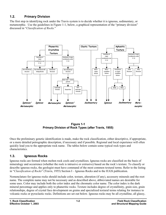# <span id="page-9-0"></span>**1.2. Primary Division**

The first step in identifying rock under the Travis system is to decide whether it is igneous, sedimentary, or metamorphic. Use the guidelines in Figure 1-1, below, a graphical representation of the "primary division" discussed in "*Classification of Rocks.*"



**Figure 1-1 Primary Division of Rock Types (after Travis, 1955)**

Once the preliminary genetic identification is made, make the rock classification, either descriptive, if appropriate, or a more detailed petrographic description, if necessary and if possible. Regional and local experience will often quickly lead you to the appropriate rock name. The tables below contain some typical rock types and characteristics.

# **1.3. Igneous Rocks**

Igneous rocks are formed when molten rock cools and crystallizes. Igneous rocks are classified on the basis of mineralogy and occurrence (whether the rock is intrusive or extrusive) based on the rock's texture. To classify or describe igneous rocks, the geologist must have command of the most common textural terms. Refer to the listing in "*Classification of Rocks*" (Travis, 1955) Section I – Igneous Rocks and to the IUGS publication.

Nomenclature for igneous rocks should include color, texture, alteration (if any), accessory minerals and the root name. The complete name may not be necessary and as described above, abbreviated names are desirable for some uses. Color may include both the color index and the chromatic color name. The color index is the dark mineral percentage and applies only to phaneritic rocks. Texture includes degree of crystallinity, grain size, grain relationships, degree of crystal face development on grains and specialized textural terms relating for instance to volcanic rocks or pyroclastic rocks. Definitions are set out below. Igneous rocks may be all crystalline, all glassy,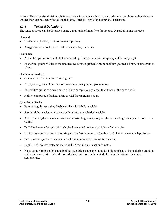<span id="page-10-0"></span>or both. The grain size division is between rock with grains visible to the unaided eye and those with grain sizes smaller than can be seen with the unaided eye. Refer to Travis for a complete discussion.

#### *1.3.1 Textural Definitions*

The igneous rocks can be described using a multitude of modifiers for texture. A partial listing includes:

#### **General**

- Vesicular: spherical, ovoid or tubular openings
- Amygdaloidal: vesicles are filled with secondary minerals

#### **Grain size**

- Aphanitic: grains not visible to the unaided eye (microcrystalline, cryptocrystalline or glassy)
- Phaneritic: grains visible to the unaided eye (coarse grained > 5mm, medium grained 1-5mm, or fine grained  $<1$ mm

#### **Grain relationships**

- Granular: nearly equidimensional grains
- Porphyritic: grains of one or more sizes in a finer-grained groundmass
- Pegmatitic: grains of a wide range of sizes conspicuously larger than those of the parent rock
- Aplitic: composed of anhedral (no crystal faces) grains, sugary

#### **Pyroclastic Rocks**

- Pumice: highly vesicular, finely cellular with tubular vesicles
- Scoria: highly vesicular, coarsely cellular, usually spherical vesicles
- Ash: includes glass shards, crystals and crystal fragments, stony or glassy rock fragments (sand to silt size  $\leq 2$ mm $)$
- Tuff: Rock name for rock with ash-sized cemented volcanic particles <2mm in size
- Lapilli: commonly pumice or scoria particles 2-64 mm in size (pebble size). The rock name is lapillistone.
- Tuff Breccia: ejected volcanic material >32 mm in size in an ash/tuff matrix
- Lapilli Tuff: ejected volcanic material 4-32 mm in size in ash/tuff matrix
- Blocks and Bombs: cobble and boulder size. Blocks are angular and rigid; bombs are plastic during eruption and are shaped to streamlined forms during flight. When indurated, the name is volcanic breccia or agglomerate.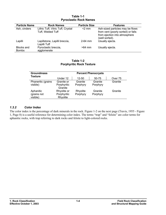<span id="page-11-0"></span>

| <b>Particle Name</b>       | <b>Rock Names</b>                                      | <b>Particle Size</b> | <b>Features</b>                                                                                                           |
|----------------------------|--------------------------------------------------------|----------------------|---------------------------------------------------------------------------------------------------------------------------|
| Ash, cinders               | Lithic Tuff, Vitric Tuff, Crystal<br>Tuff, Welded Tuff | $<$ 2 mm             | Ash-sized particles may be flows<br>from vent (poorly sorted) or falls<br>from ejection into atmosphere<br>(well sorted). |
| Lapilli                    | Lapillstone, Lapilli breccia,<br>Lapilli Tuff          | $2-64$ mm            | Usually ejecta.                                                                                                           |
| Blocks and<br><b>Bombs</b> | Pyroclastic breccia,<br>agglomerate                    | $>64$ mm             | Usually ejecta.                                                                                                           |

#### **Table 1-1 Pyroclastic Rock Names**

#### **Table 1-2 Porphyritic Rock Texture**

| <b>Groundmass</b>       | <b>Percent Phenocrysts</b> |           |          |         |
|-------------------------|----------------------------|-----------|----------|---------|
| <b>Texture</b>          | Under 12                   | $12 - 50$ | 50-75    | Over 75 |
| Phaneritic (grains      | Granite or                 | Granite   | Granite  | Granite |
| visible)                | Porphyritic<br>Granite     | Porphyry  | Porphyry |         |
| Aphanitic               | Rhyolite or                | Rhyolite  | Granite  | Granite |
| (grains not<br>visible) | Porphyritic<br>Rhyolite    | Porphyry  | Porphyry |         |

#### *1.3.2 Color Index*

The color index is the percentage of dark minerals in the rock. Figure 1-2 on the next page (Travis, 1955 - Figure 1, Page 8) is a useful reference for determining color index. The terms "trap" and "felsite" are color terms for aphanitic rocks, with trap referring to dark rocks and felsite to light-colored rocks.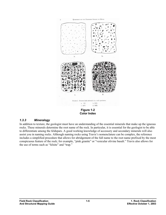<span id="page-12-0"></span>

**Color Index**

#### *1.3.3 Mineralogy*

In addition to texture, the geologist must have an understanding of the essential minerals that make up the igneous rocks. These minerals determine the root name of the rock. In particular, it is essential for the geologist to be able to differentiate among the feldspars. A good working knowledge of accessory and secondary minerals will also assist you in naming rocks. Although naming rocks using Travis's nomenclature can be complex, the reference includes a simplified procedure that allows for abridgement of the full name to the root name prefixed by the most conspicuous feature of the rock; for example, "pink granite" or "vesicular olivine basalt." Travis also allows for the use of terms such as "felsite" and "trap."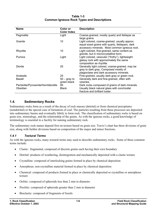#### **Table 1-3 Common Igneous Rock Types and Descriptions**

<span id="page-13-0"></span>

| <b>Name</b>                                    | Color or<br><b>Color Index</b> | <b>Description</b>                                                                                                                                 |
|------------------------------------------------|--------------------------------|----------------------------------------------------------------------------------------------------------------------------------------------------|
| Pegmatite                                      | Light                          | Coarse-grained, mostly quartz and feldspar as<br>large grains.                                                                                     |
| Granite                                        | 10                             | Light colored, coarse-grained, usually approx.<br>equal sized grains with quartz, feldspars, dark<br>accessory minerals. Most common igneous rock. |
| Rhyolite                                       | 10                             | Light colored, fine-grained, same content as<br>granite, but in microcrystalline form.                                                             |
| Pumice                                         | Light                          | Light colored, vesicular ("frothy"), lightweight<br>glassy rock with approximately the same<br>composition as rhyolite.                            |
| Diorite                                        | 25                             | Generally light colored, coarse-grained, may be<br>gray to dark gray. Composed mostly of<br>plagioclase and dark accessory minerals.               |
| Andesite                                       | 25                             | Fine-grained, usually dark gray or green rock.                                                                                                     |
| Basalt                                         | $50 -$ gray to<br>green-black  | Generally dark and fine-grained, often with<br>vesicles.                                                                                           |
| Peridotite/Pyroxenite/Hornblendite<br>Obsidian | 95<br><b>Black</b>             | Dark rocks composed of grains of dark minerals.<br>Usually black natural glass with conchoidal<br>fracture and brilliant luster.                   |

# **1.4. Sedimentary Rocks**

Sedimentary rocks form as a result of the decay of rock masses (detrital) or from chemical precipitates (nondetrital) or the special case of formation of coal. The particles resulting from these processes are deposited into sedimentary basins and eventually lithify to form rock. The classification of sedimentary rocks is based on grain size, mineralogy, and the relationship of the grains. As with the igneous rocks, a good knowledge of terminology is essential to a facility for naming sedimentary rock.

The sedimentary rock names depend first on texture based on grain size. Travis's chart has three divisions of grain size, along with further divisions based on composition of the major and minor fractions.

#### *1.4.1 Textural Terms*

As with the igneous rocks, many textural terms may used to describe sedimentary rocks. Some of these common terms include:

- Clastic: fragmental, composed of discrete grains each having their own boundary
- Detrital: products of weathering, disintegration and mechanically deposited with a clastic texture
- Crystalline: composed of interlocking grains formed in place by chemical deposition
- Amorphous: non-crystalline material formed in place by chemical deposition
- Chemical: composed of products formed in place or chemically deposited or crystalline or amorphous texture
- Oolitic: composed of spheroids less than 2 mm in diameter.
- Pisolitic: composed of spheroids greater than 2 mm in diameter
- Bioclastic: composed of fragments of fossils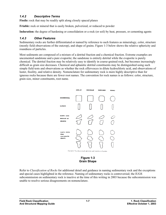#### <span id="page-14-0"></span>*1.4.2 Descriptive Terms*

Fissile: rock that may be readily split along closely spaced planes

**Friable:** rock or mineral that is easily broken, pulverized, or reduced to powder

**Induration:** the degree of hardening or consolidation or a rock (or soil) by heat, pressure, or cementing agents

#### *1.4.3 Other Features*

Sedimentary rocks are further differentiated or named by reference to such features as mineralogy, color, structure (mostly field observations of the outcrop), and shape of grains. Figure 1-3 below shows the relative sphericity and roundness of particles.

Most sediments are composed of a mixture of a detrital fraction and a chemical fraction. Extreme examples are uncemented sandstone and a pure evaporite; the sandstone is entirely detrital while the evaporite is purely chemical. The detrital fraction may be relatively easy to identify in coarse-grained rock, but becomes increasingly difficult as grain size decreases. Chemical and aphanitic detrital constituents may be distinguished using such simple field tests and observations as whether the rock effervesces in dilute hydrochloric acid, and observations of luster, fissility, and relative density. Nomenclature for sedimentary rock is more highly descriptive than for igneous rocks because there are fewer root names. The convention for rock names is as follows: color, structure, grain size, minor constituents, root name.



**Figure 1-3 Grain Shape** 

Refer to *Classification of Rocks* for additional detail and guidance in naming sedimentary rock and the exceptions and special cases highlighted in the reference. Naming of sedimentary rocks is controversial; the IUGS subcommission on sedimentary rock is inactive at the time of this writing in 2003 because the subcommission was unable to resolve serious disagreements on nomenclature.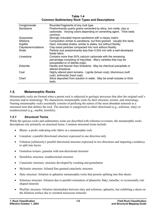**Table 1-4 Common Sedimentary Rock Types and Descriptions** 

<span id="page-15-0"></span>

| Predominantly quartz grains cemented by silica, iron oxide, clay or                                                                                                                                                                                                                                                                                                                                                                                                                                                                                                                                                                          |
|----------------------------------------------------------------------------------------------------------------------------------------------------------------------------------------------------------------------------------------------------------------------------------------------------------------------------------------------------------------------------------------------------------------------------------------------------------------------------------------------------------------------------------------------------------------------------------------------------------------------------------------------|
| carbonate. Varying colors depending on cementing agent. Thick beds                                                                                                                                                                                                                                                                                                                                                                                                                                                                                                                                                                           |
|                                                                                                                                                                                                                                                                                                                                                                                                                                                                                                                                                                                                                                              |
| Strongly indurated impure sandstone with a clayey matrix.                                                                                                                                                                                                                                                                                                                                                                                                                                                                                                                                                                                    |
|                                                                                                                                                                                                                                                                                                                                                                                                                                                                                                                                                                                                                                              |
|                                                                                                                                                                                                                                                                                                                                                                                                                                                                                                                                                                                                                                              |
|                                                                                                                                                                                                                                                                                                                                                                                                                                                                                                                                                                                                                                              |
|                                                                                                                                                                                                                                                                                                                                                                                                                                                                                                                                                                                                                                              |
|                                                                                                                                                                                                                                                                                                                                                                                                                                                                                                                                                                                                                                              |
|                                                                                                                                                                                                                                                                                                                                                                                                                                                                                                                                                                                                                                              |
|                                                                                                                                                                                                                                                                                                                                                                                                                                                                                                                                                                                                                                              |
|                                                                                                                                                                                                                                                                                                                                                                                                                                                                                                                                                                                                                                              |
|                                                                                                                                                                                                                                                                                                                                                                                                                                                                                                                                                                                                                                              |
|                                                                                                                                                                                                                                                                                                                                                                                                                                                                                                                                                                                                                                              |
|                                                                                                                                                                                                                                                                                                                                                                                                                                                                                                                                                                                                                                              |
|                                                                                                                                                                                                                                                                                                                                                                                                                                                                                                                                                                                                                                              |
|                                                                                                                                                                                                                                                                                                                                                                                                                                                                                                                                                                                                                                              |
|                                                                                                                                                                                                                                                                                                                                                                                                                                                                                                                                                                                                                                              |
| Composition similar to sandstone, but finer-grained. Usually thin beds.<br>Hard, indurated shales, similar to slates, but without fissility.<br>Clay-sized particles compacted into rock without fissility.<br>Particle size predominantly less than 0.002 mm with a well-developed<br>Contains more than 50% calcium carbonate with the remaining<br>percentage consisting of impurities. Many varieties that may be<br>Harder and heavier than limestone. May be chemical precipitate or<br>Highly altered plant remains. Lignite (brown coal), bituminous (soft<br>Silica deposited from solution in water. May be small nodules or thick |

#### **1.5. Metamorphic Rocks**

Metamorphic rocks are formed when a parent rock is subjected to geologic processes that alter the original rock's structure and/or mineralogy. We characterize metamorphic rocks by their structure, texture, and mineralogy. Naming metamorphic rocks essentially consists of prefixing the names of the most abundant minerals to a structural term that defines the rock. The structure is categorized as either directional (e.g., schistose, slaty) or nondirectional (e.g., marble, hornfels).

#### *1.5.1 Structural Terms*

While the igneous rocks and sedimentary rocks are described with reference to texture, the metamorphic rocks descriptions rely primarily on structural terms. Common structural terms include:

- Blasto: a prefix indicating relic fabric in a metamorphic rock
- Lineation: a parallel directional structure expressed in one direction only
- Foliation (schistosity): parallel directional structure expressed in two directions and imparting a tendency to split into layers
- Granulose texture: granular with non-directional structure
- Hornfelsic structure: nondirectional structure
- Cataclastic structure: structure developed by crushing and granulation
- Mylonitic structure: foliated fine-grained cataclastic structure
- Slaty structure: foliation in aphanitic metamorphic rocks that permits splitting into thin sheets
- Schistose structure: foliation due to parallel orientation of phaneritic flaky, lamellar, or occasionally rodshaped minerals
- Phyllitic structure: foliation intermediate between slaty and schistose, aphanitic, but exhibiting a sheen on the foliation surface due to oriented micaceous minerals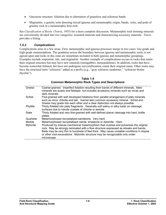- <span id="page-16-0"></span>• Gneissose structure: foliation due to alternation of granulose and schistose bands
- Migmatitic: a genetic term denoting mixed igneous and metamorphic origin; bands, veins, and pods of granitic rock in a metamorphic host rock

See *Classification of Rocks* (Travis, 1955) for a more complete discussion. Metamorphic rock-forming minerals are conveniently divided into two categories: essential minerals and characterizing accessory minerals. Travis provides a listing.

#### *1.5.2 Complications*

Complications arise in a few areas. First, metamorphic and igneous processes merge in two cases: low-grade and high-grade metamorphism. The gradation across the boundary between igneous and metamorphic rocks is not agreed upon and rocks in this zone are sometimes included in both igneous and metamorphic groupings. Examples include serpentine, talc, and migmatite. Another example of complications occurs in rocks that retain their original structure but may have new minerals (metagabbro, metasandstone). In addition, rocks that have become somewhat foliated, but have not undergone recrystallization, retain their original name. Other rocks may have the structural term "schistose" added as a prefix (e.g., "gray schistose sandstone," "schistose biotite rhyolite").

| Gneiss    | Coarse-grained. Imperfect foliation resulting from bands of different minerals. Main       |
|-----------|--------------------------------------------------------------------------------------------|
|           | minerals are quartz and feldspar, but includes accessory minerals such as micas and        |
|           | dark minerals.                                                                             |
| Schist    | Fine-grained with well developed foliations from parallel arrangement of platy minerals    |
|           | such as mica, chlorite and talc. Garnet also common accessory mineral. Schist and          |
|           | Gneiss may grade into each other and a clear distinction not always possible.              |
| Phyllite  | Thinly foliated into platy fragments. Generally soft satiny or silky luster on cleavage    |
|           | surfaces due to minute crystals of chlorite or sericite.                                   |
| Slate     | Thinly foliated and very fine-grained with well-defined planar cleavage into hard, brittle |
|           | plates.                                                                                    |
| Quartzite | Metamorphosed recrystalized sandstone. Very hard.                                          |
| Marble    | Metamorphosed recrystallized calcite, limestone or dolomite. Hard.                         |
| Mylonite  | Produced by intense mechanical metamorphism that crushes and pulverizes the original       |
|           | rock. May be strongly laminated with a flow structure expressed as streaks and bands.      |
|           | Beds may be very thin to hundreds of feet thick. May cause unstable conditions in slopes   |
|           | or other rock excavations. Mylonitic structure may be recognizable only under              |
|           | microscope.                                                                                |
|           |                                                                                            |

**Table 1-5 Common Metamorphic Rock Types and Descriptions**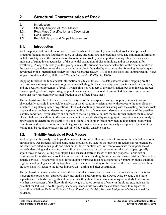# <span id="page-18-0"></span>**2. Structural Characteristics of Rock**

- 2.1. Introduction
- 2.2. Stability Analysis of Rock Masses
- 2.3. Rock Mass Classification and Description
- 2.4. Rock Quality
- 2.5. Rockfall Hazard and Slope Management

# **2.1. Introduction**

Rock mapping is of critical importance in projects where, for example, there is a high rock cut slope or where structural foundations are founded on rock, or where structures are anchored into rock. The minimum information includes rock type and the orientation of discontinuities. Rock type is important, among other reasons, as an indicator of strength characteristics, of the potential orientation of discontinuities, and of the potential for weathering. Along with rock type, the geologist maps the orientation and characteristics of the discontinuities in the rock mass, and determines the shape and size of blocks bounded by discontinuities following the techniques developed by the International Society of Rock Mechanics (ISRM, 1978) and discussed and summarized in "*Rock Slopes"* (Wyllie and Mah, 1998) and "*Foundations on Rock*" (Wyllie, 1999).

Mapping furnishes the fundamental information on site conditions. The data gathered during mapping are the basis for many subsequent engineering decisions including the location and type of structures and rock anchors, and the need for reinforcement of rock. The mapping is a vital part of the investigation, but is an inexact process because geological and engineering judgment is necessary to extrapolate from limited data from outcrops and cores that may represent only a small fraction of the affected rock mass.

The geologist uses the field data to identify the types of failures (planar, wedge, toppling, circular) that are kinematically possible in the rock by analysis of the discontinuity orientations with respect to the rock slope or structure using stereographic projections. Plot the discontinuity orientations along with the existing/proposed rock slope and analyze them to determine the potential direction of movement. Also obtain indication of the possible stability condition. If you identify one or more of the four potential failure modes, further analyze the likelihood of such failures. In addition to the geometric conditions established by stereographic projection analysis, analyze other factors to determine the stability of a rock slope. These other forces may include foundation loads, water conditions, and proposed reinforcement. Rigorous geological and engineering analysis supported by laboratory testing may be required to assess the stability of potentially unstable slopes.

# **2.2. Stability Analysis of Rock Masses**

Rock slope stability analysis is beyond the scope of this guide. However, a brief discussion is included here as an introduction. Department staff and consultants should follow state-of-the-practice procedures as represented by the references cited in this guide and other authoritative publications. We cannot overstate the importance of properly describing and analyzing the stability of a rock mass. In rock excavations, the rock slopes typically adjoin traveled ways. Failing rock slopes have caused disastrous losses of life and property. For bridge or retaining wall foundations on rock, the importance of understanding the structure and characteristics of the rock is equally obvious. The analysis of rock for foundation purposes must be a cooperative venture involving qualified engineers and geologists working together to reach an understanding of the nature of the rock material and how the rock mass will react to the forces imposed on it during and after construction.

The geologist or engineer who performs the structural analysis may use hand calculations using stereonets and stereographic projections, approved structural analysis software (e.g., RockPack, Dips, Swedge), and more sophisticated methods. For significant excavations, they should undertake a more rigorous study to determine whether the character of the discontinuities, strength of rock, presence of water in the slope, etc., indicate the potential for failures. If so, the geologist and engineer should consider the available means to mitigate the possibility of failure. Refer to FHWA's "*Rock Slopes*" and *Rockfall Hazards Mitigation Methods* manual for guidance.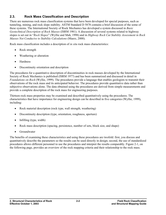# <span id="page-19-0"></span>**2.3. Rock Mass Classification and Description**

There are numerous rock mass classification systems that have been developed for special purposes, such as tunneling, mining, and rock slope stability. ASTM Standard D 5878 contains a brief discussion of the some of these systems. The International Society of Rock Mechanics has developed a system discussed in *Basic Geotechnical Description of Rock Masses* (ISRM 1981). A discussion of several systems related to highway slopes is set out in "*Rock Slopes*" (Wyllie and Mah, 1998) and in *Highway Rock Cut Stability Assessment in Rock Masses Not Conducive to Stability Calculations* (Maerz, 2000).

Rock mass classification includes a description of *in situ* rock mass characteristics:

- Rock strength
- Weathering or alteration
- **Hardness**
- Discontinuity orientation and description

The procedures for a quantitative description of discontinuities in rock masses developed by the International Society of Rock Mechanics is published (ISRM 1977) and has been summarized and discussed in detail in *Foundations on Rock* (Wyllie, 1999). The procedures provide a language that enables geologists to transmit their observations of the rock mass and its anticipated behavior. The procedures provide quantitative data rather than subjective observations alone. The data obtained using the procedures are derived from simple measurements and provide a complete description of the rock mass for engineering purposes.

Thirteen rock mass properties may be examined and described quantitatively using the procedures. The characteristics that have importance for engineering design can be described in five categories (Wyllie, 1999), including:

- Rock material description (rock type, wall strength, weathering)
- Discontinuity description (type, orientation, roughness, aperture)
- Infilling (type, width)
- Rock mass description (spacing, persistence, number of sets, block size, and shape)
- Groundwater

The benefits of examining these characteristics and using these procedures are twofold: first, you discuss and quantitatively describe the parameters so the results can be used directly in design; second, the use of standardized procedures allows different personnel to use the procedures and interpret the results comparably. Figure 2-1, on the following page, provides an overview of the rock mapping criteria and their relationship to the rock mass.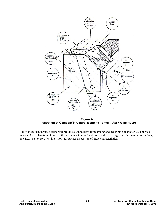

**Figure 2-1 Illustration of Geologic/Structural Mapping Terms (After Wyllie, 1999)** 

Use of these standardized terms will provide a sound basis for mapping and describing characteristics of rock masses. An explanation of each of the terms is set out in Table 2-1 on the next page. See "*Foundations on Rock,"* Sec 4.2.1, pp 99-104. (Wyllie, 1999) for further discussion of these characteristics.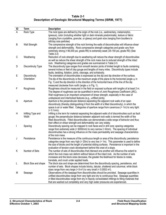#### **Table 2-1 Description of Geologic Structural Mapping Terms (ISRM, 1977)**

| ID | Term                      | <b>Description</b>                                                                                                                                                                                     |
|----|---------------------------|--------------------------------------------------------------------------------------------------------------------------------------------------------------------------------------------------------|
| A  | Rock Type                 | The rock types are defined by the origin of the rock (i.e., sedimentary, metamorphic,                                                                                                                  |
|    |                           | igneous), color (including whether light or dark minerals predominate), texture or fabric                                                                                                              |
|    |                           | (ranging from crystalline, granular, or glassy) and grain size (ranging from boulders to                                                                                                               |
|    |                           | silt/clay size particles)                                                                                                                                                                              |
| B  | Wall Strength             | The compressive strength of the rock forming the walls of discontinuities will influence shear                                                                                                         |
|    |                           | strength and deformability. Rock compressive strength categories and grade vary from                                                                                                                   |
|    |                           | extremely strong (>36,000 psi, grade R6) to extremely weak (35-150 psi, grade R0) (See                                                                                                                 |
|    |                           | Table 2-2)                                                                                                                                                                                             |
| C  | Weathering                | Reduction of rock strength due to weathering will reduce the shear strength of discontinuities                                                                                                         |
|    |                           | as well as reduce the shear strength of the rock mass due to reduced strength of the intact                                                                                                            |
| D  | <b>Discontinuity Type</b> | rock. Weathering categories and grades are summarized in Table 2-3.<br>The discontinuity type ranges from smooth tension joints of limited length to faults containing                                 |
|    |                           | several inches or feet of clay gouge and lengths of many miles. Discontinuity types include                                                                                                            |
|    |                           | faults, bedding, foliation, joints, cleavage, and schistosity.                                                                                                                                         |
| Е  | Discontinuity             | The orientation of discontinuities is expressed as the dip and dip direction of the surface.                                                                                                           |
|    | Orientation               | The dip of the discontinuity is the maximum angle of the plane to the horizontal (angle $\psi$ in                                                                                                      |
|    |                           | Fig. 1) and the dip direction is the direction of the horizontal trace of the line of the dip                                                                                                          |
|    |                           | measured clockwise from north (angle $\alpha$ in Fig. 1).                                                                                                                                              |
| F  | Roughness                 | Roughness should be measured in the field on exposed surfaces with lengths of at least 2 m.                                                                                                            |
|    |                           | The degree of roughness can be quantified in terms of Joint Roughness Coefficient (JRC).                                                                                                               |
|    |                           | Wall roughness is an important component of shear strength, especially in the case of                                                                                                                  |
|    |                           | undisplaced and interlocked features (e.g., unfilled joints).                                                                                                                                          |
| G  | Aperture                  | Aperture is the perpendicular distance separating the adjacent rock walls of an open                                                                                                                   |
|    |                           | discontinuity (thereby distinguishing it from the width of a filled discontinuity), in which the                                                                                                       |
|    |                           | space is air or water filled. Categories of aperture range from cavernous (> 1m) to very tight                                                                                                         |
|    |                           | $(< 0.1$ mm).                                                                                                                                                                                          |
| Н  | Infilling Type and        | Infilling is the term for material separating the adjacent walls of of discontinuities such as fault                                                                                                   |
|    | Width                     | gouge; the perpendicular distance between adjacent rock walls is termed the width of the                                                                                                               |
|    |                           | filled discontinuity. Filled discontinuities can demonstrate a wide range of behavior and thus                                                                                                         |
|    |                           | their affect on shear strength and deformability can vary widely.<br>Discontinuity spacing can be mapped in rock faces and in drill core; spacing categories                                           |
|    | Spacing                   | range from extremely wide (> 6000mm) to very narrow (< 6mm). The spacing of individual                                                                                                                 |
|    |                           | discontinuities has a strong influence on the mass permeability and seepage characteristics                                                                                                            |
|    |                           | of the rock mass.                                                                                                                                                                                      |
| J  | Persistence               | Persistence is the measure of the continuous length or area of the discontinuity; persistence                                                                                                          |
|    |                           | categories range from very high (> 20m) to very low (< 1m). This parameter is used to define                                                                                                           |
|    |                           | the size of blocks and the length of potential sliding surfaces. Persistence is important in the                                                                                                       |
|    |                           | evaluation of tension crack development behind the crest of a slope.                                                                                                                                   |
| Κ  | Number of Sets            | The number of sets of discontinuities that intersect one another will influence the extent to                                                                                                          |
|    |                           | which the rock mass can deform without failure of the intact rock. As the number of sets                                                                                                               |
|    |                           | increases and the block sizes decrease, the greater the likelihood for blocks to rotate,                                                                                                               |
|    |                           | translate, and crush under applied loads.                                                                                                                                                              |
| L  | Block Size and shape      | The block size and shape are determined from the discontinuity spacing, persistence, and                                                                                                               |
|    |                           | number of sets. Block shapes include blocky, tabular, shattered and columnar, while block                                                                                                              |
|    |                           | sizes range from very large ( $> 8$ m <sup>3</sup> ) to very small ( $< 0.0002$ m <sup>3</sup> ).                                                                                                      |
| M  | Seepage                   | Observations of the seepage from discontinuities should be provided. Seepage quantities in                                                                                                             |
|    |                           | unfilled discontinuities range from very tight and dry to continuous flow. Seepage quantities<br>in filled discontinuities range from dry in heavily consolidated infillings to filling materials that |
|    |                           | that are washed out completely and very high water pressures are experienced.                                                                                                                          |
|    |                           |                                                                                                                                                                                                        |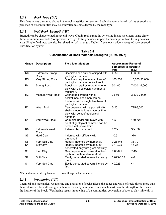# <span id="page-22-0"></span>*2.3.1 Rock Type ("A")*

This feature was discussed above in the rock classification section. Such characteristics of rock as strength and presence of discontinuities may be controlled to some degree by the rock type.

# *2.3.2 Wall Rock Strength ("B")*

Strength can be characterized in several ways. Obtain rock strengths by testing intact specimens using either direct or indirect methods (compressive strength testing devices, impact hammers, point load testing devices, etc.). Simple field tests can also be related to rock strength. Table 2-2 sets out a widely accepted rock strength classification system.

| Grade          | <b>Description</b>                     | <b>Field Identification</b>                                                                                            | <b>Approximate Range of</b><br>compressive strength<br><b>Mpa</b> | p.s.i.        |
|----------------|----------------------------------------|------------------------------------------------------------------------------------------------------------------------|-------------------------------------------------------------------|---------------|
| R <sub>6</sub> | <b>Extremely Strong</b><br><b>Rock</b> | Specimen can only be chipped with<br>geological hammer                                                                 | >250                                                              | >36,000       |
| R <sub>5</sub> | Very Strong Rock                       | Specimen requires many blows of<br>geological hammer to fracture it.                                                   | 100-250                                                           | 15,000-36,000 |
| R4             | <b>Strong Rock</b>                     | Specimen requires more than one<br>blow with a geological hammer to<br>fracture it.                                    | 50-100                                                            | 7,000-15,000  |
| R <sub>3</sub> | <b>Medium Weak Rock</b>                | Cannot be scraped with a<br>pocketknife; specimen can be<br>fractured with a single firm blow of<br>geological hammer. | $25 - 50$                                                         | 3,500-7,000   |
| R <sub>2</sub> | <b>Weak Rock</b>                       | Can be peeled with a pocketknife;<br>shallow indentations made by firm<br>blow with point of geological<br>hammer.     | $5 - 25$                                                          | 725-3,500     |
| R <sub>1</sub> | Very Weak Rock                         | Crumbles under firm blows with<br>point of geological hammer; can be<br>peeled with pocketknife.                       | $1 - 5$                                                           | 150-725       |
| R <sub>0</sub> | <b>Extremely Weak</b><br><b>Rock</b>   | Indented by thumbnail.                                                                                                 | $0.25 - 1$                                                        | 35-150        |
| $S6*$          | Hard Clay                              | Indented with difficulty with<br>thumbnail.                                                                            | >0.5                                                              | >70           |
| S <sub>5</sub> | Very Stiff Clay                        | Readily indented by thumbnail.                                                                                         | $0.25 - 0.5$                                                      | $35 - 70$     |
| S4             | Stiff Clay                             | Readily indented by thumb, but<br>penetrated only with great difficulty.                                               | $0.1 - 0.25$                                                      | 15-35         |
| S <sub>3</sub> | Firm Clay                              | Can be penetrated several inches<br>by thumb with moderate effort.                                                     | $0.05 - 0.1$                                                      | $7 - 15$      |
| S <sub>2</sub> | Soft Clay                              | Easily penetrated several inches by<br>thumb.                                                                          | $0.025 - 0.05$                                                    | $4 - 7$       |
| S <sub>1</sub> | Very Soft Clay                         | Easily penetrated several inches by<br>fist.                                                                           | < 0.025                                                           | $<$ 4         |

| Table 2-2                                                      |  |
|----------------------------------------------------------------|--|
| <b>Classification of Rock Materials Strengths (ISRM, 1977)</b> |  |

\*The soil material strengths may refer to infillings in discontinuities.

#### *2.3.3 Weathering ("C")*

Chemical and mechanical weathering and alteration of rocks affects the edges and walls of rock blocks more than their interiors. The wall strength is therefore usually less (sometimes much less) than the strength of the rock in the interior of the block. Weathering results in opening of discontinuities, conversion of rock to clay minerals in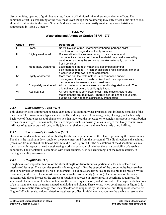<span id="page-23-0"></span>discontinuities, opening of grain boundaries, fracture of individual mineral grains, and other effects. The combined effect is a weakening of the rock mass, even though the weathering may only affect a thin skin of rock along discontinuities in the mass. Simple field tests can be used to classify weathering characteristics as summarized in Table 2-3 below.

| Grade | Term                 | <b>Description</b>                                                     |
|-------|----------------------|------------------------------------------------------------------------|
|       | Fresh                | No visible sign of rock material weathering; perhaps slight            |
|       |                      | discoloration on major discontinuity surfaces.                         |
| Ш     | Slightly weathered   | Discoloration indicates weathering of rock material and                |
|       |                      | discontinuity surfaces. All the rock material may be discolored by     |
|       |                      | weathering and may be somewhat weaker externally than in its           |
|       |                      | fresh condition.                                                       |
| Ш     | Moderately weathered | Less than half the rock material is decomposed and/or                  |
|       |                      | disintegrated to a soil. Fresh or discolored rock is present either as |
|       |                      | a continuous framework or as corestones.                               |
| IV    | Highly weathered     | More than half the rock material is decomposed and/or                  |
|       |                      | disintegrated to a soil. Fresh or discolored rock is present as a      |
|       |                      | discontinuous framework or as corestones.                              |
| V     | Completely weathered | All rock material is decomposed and/or disintegrated to soil. The      |
|       |                      | original mass structure is still largely intact.                       |
| VI    | Residual Soil        | All rock material is converted to soil. The mass structure and         |
|       |                      | material fabric are destroyed. There is a large change in volume,      |
|       |                      | but the soil has not been significantly transported.                   |

#### **Table 2-3 Weathering and Alteration Grades (ISRM 1977)**

# *2.3.4 Discontinuity Type ("D")*

This characteristics is important because each type of discontinuity has properties that influence behavior of the rock mass. The discontinuity types include: faults, bedding planes, foliations, joints, cleavage, and schistosity. Each type of feature has a set of characteristics that may lead the investigator to conclusions about its contribution to rock mass strength. For example, faults are major structures possibly miles in length that likely contain weak infillings of gouge or crushed rock, while joints are relatively short and may have little or no infilling.

# *2.3.5 Discontinuity Orientation ("E")*

Orientation of discontinuities is described by the dip and dip direction of the plane representing the discontinuity. The dip is the maximum down angle on the plane measured from the horizontal. The dip direction is the azimuth (measured from north) of the line of maximum dip. See Figure 2-1. The orientations of the discontinuities in a rock mass with respect to nearby engineering works largely control whether there is a possibility of unstable conditions. The orientation is combined with other features, such as shear strength of the rock materials, in making a stability assessment.

# *2.3.6 Roughness ("F")*

Roughness is an important feature of the shear strength of discontinuities, particularly for undisplaced and interlocked features. The asperities (small scale roughness) affect the strength of the discontinuity because they tend to be broken or damaged by block movement. The undulations (large scale) are too big to be broken by the movement, so the rock blocks must move normal to the discontinuity (dilation). As the separation between adjacent rock blocks increases, the effects of roughness decrease in importance. In describing roughness, for small-scale features of up to a few inches, use the terms rough, smooth, and slickensided. For larger scale features of up to many feet, use the terms stepped, undulating and planar. These terms, when combined as in Figure 2-2, provide a systematic terminology. You may also describe roughness by the numeric Joint Roughness Coefficient (Figure 2-3) with scaled values related to roughness profiles. In field practice, you may be unable to resolve the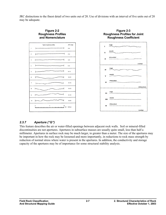<span id="page-24-0"></span>JRC distinctions to the finest detail of two units out of 20. Use of divisions with an interval of five units out of 20 may be adequate.



# *2.3.7 Aperture ("G")*

This feature describes the air or water-filled openings between adjacent rock walls. Soil or mineral-filled discontinuities are not apertures. Apertures in subsurface masses are usually quite small, less than half a millimeter. Apertures in surface rock may be much larger, to greater than a meter. The size of the apertures may be important in how the rock may be loosened and more importantly, in reductions to rock mass strength by reduction of normal stress where water is present in the apertures. In addition, the conductivity and storage capacity of the apertures may be of importance for some structural stability analysis.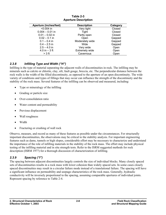<span id="page-25-0"></span>

| <b>Aperture (inches/feet)</b> | <b>Description</b>    | Category |
|-------------------------------|-----------------------|----------|
| $< 0.004$ in                  | Very tight            | Closed   |
| $0.004 - 0.01$ in             | Tight                 | Closed   |
| $0.01 - 0.02$ in              | Partly open           | Closed   |
| $0.02 - 0.1$ in               | Open                  | Gapped   |
| $0.1 - 0.4$ in                | Moderately wide       | Gapped   |
| $0.4 - 2.5$ in                | Wide                  | Gapped   |
| $2.5 - 4.0$ in                | Very wide             | Open     |
| 4.0 in $-3$ ft                | <b>Extremely wide</b> | Open     |
| $>$ 3 ft                      | Cavernous             | Open     |

#### **Table 2-3 Aperture Description**

# *2.3.8 Infilling Type and Width ("H")*

Infilling is the type of material separating the adjacent walls of discontinuities in rock. The infilling may be minerals such as calcite or chlorite, clay, silt, fault gouge, breccia, etc. The perpendicular distance between the rock walls is the width of the filled discontinuity, as opposed to the aperture of an open discontinuity. The wide variety of conditions and types of fillings that may occur can influence the strength of the discontinuity and the stability of the rock mass. Several features of the infilling can be observed and measured, including:

- Type or mineralogy of the infilling
- Grading or particle size
- Over-consolidation ratio
- Water content and permeability
- Previous displacement
- Wall roughness
- Width
- Fracturing or crushing of wall rock

Observe, measure, and record as many of these features as possible under the circumstances. For structurally important discontinuities, the observations may be critical to the stability analysis. For important engineering features such as dams, tunnels or high slopes, considerable effort may be necessary to characterize and understand the importance of the role of infilling materials in the stability of the rock mass. The effort may include physical testing of the infilling material and in situ strength tests. Refer to the ISRM suggested methods for rock description (ISRM 1977) for a thorough discussion of characterization of infilling.

# *2.3.9 Spacing ("I")*

The spacing between adjacent discontinuities largely controls the size of individual blocks. Many closely spaced sets of discontinuities results in a rock mass with lower cohesion than widely spaced sets. In some cases closely spaced discontinuities may result in a circular failure mode instead of a translational failure. The spacing will have a significant influence on permeability and seepage characteristics of the rock mass. Generally, hydraulic conductivity will be inversely proportional to the spacing, assuming comparable apertures of individual joints. Represent spacing by reference to Table 2-4.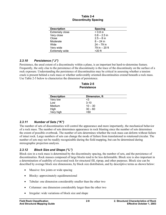#### **Table 2-4 Discontinuity Spacing**

<span id="page-26-0"></span>

| <b>Description</b>     | <b>Spacing</b> |
|------------------------|----------------|
| <b>Extremely close</b> | $< 0.8$ in     |
| Very close             | $0.8 - 2.5$ in |
| Close                  | $2.5 - 8$ in   |
| Moderate               | $8 - 24$ in    |
| Wide                   | $24 - 79$ in   |
| Very wide              | 79 in $-20$ ft |
| <b>Extremely wide</b>  | $>20$ ft       |

#### *2.3.10 Persistence ("J")*

Persistence, the areal extent of a discontinuity within a plane, is an important but hard-to-determine feature. Frequently, the only clue to the persistence of the discontinuity is the trace of the discontinuity on the surface of a rock exposure. Understanding the persistence of discontinuities may be critical in assessing whether a tension crack is present behind a rock mass or whether unfavorably oriented discontinuities extend beneath a rock mass. Use Table 2-5 below to characterize the dimension of persistence.

**Table 2-5 Persistence** 

| <b>Description</b> | Dimension, ft |  |
|--------------------|---------------|--|
| Very low           | <3            |  |
| Low                | $3 - 10$      |  |
| Medium             | $10 - 30$     |  |
| High               | $30 - 60$     |  |
| Very high          | >60           |  |

#### *2.3.11 Number of Sets ("K")*

The number of sets of discontinuities will control the appearance and more importantly, the mechanical behavior of a rock mass. The number of sets determines appearance in rock blasting since the number of sets determines the extent of possible overbreak. The number of sets determines whether the rock mass can deform without failure of intact rock. Large numbers of sets can change the mode of failure from translational to rotational/circular. The number of sets may not be readily recognizable during the field mapping, but can be determined during stereographic projection analysis.

#### *2.3.12 Block Size and Shape ("L")*

Block size in a rock mass is determined by the discontinuity spacing, the number of sets, and the persistence of discontinuities. Rock masses composed of large blocks tend to be less deformable. Block size is also important in a determination of usability of excavated rock for structural fill, riprap, and other purposes. Block size can be described by average block size dimensions, by block size distribution, and by descriptive terms as shown below:

- Massive: few joints or wide spacing
- Blocky: approximately equidimensional
- Tabular: one dimension considerably smaller than the other two
- Columnar: one dimension considerably larger than the other two
- Irregular: wide variations of block size and shape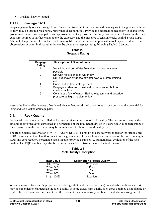<span id="page-27-0"></span>• Crushed: heavily jointed

#### *2.3.13 Seepage ("M")*

Seepage generally occurs through flow of water in discontinuities. In some sedimentary rock, the greatest volume of flow may be through rock pores, rather than discontinuities. Provide the information necessary to characterize groundwater levels, seepage paths, and approximate water pressures. Carefully note presence of water in the rock exposure, sources of surface water above the exposure, and the presence of tension cracks behind a rock slope. Also note the presence of flow barriers from clay filled discontinuities, impermeable rock layers, or dikes. The observations of water in discontinuities can be given as a seepage rating following Table 2-6 below.

**Table 2-6 Seepage Rating** 

| Seepage<br>Rating | <b>Description of Discontinuity</b>                                                          |
|-------------------|----------------------------------------------------------------------------------------------|
|                   | Very tight and dry. Water flow along it does not seem<br>possible                            |
| 2                 | Dry with no evidence of water flow                                                           |
| 3                 | Dry, but shows evidence of water flow, e.g., iron staining,<br>etc.                          |
| 4                 | Damp, but no free water present                                                              |
| 5                 | Seepage evident as occasional drops of water, but no<br>continuous flow                      |
| 6                 | Continuous flow of water. Estimate gals/min and describe<br>pressure as high, medium or low. |

Assess the likely effectiveness of surface drainage features, drilled drain holes in rock cuts, and the potential for icing and ice-blocked drainage paths.

# **2.4. Rock Quality**

Percent of core recovery for drilled rock cores provides a measure of rock quality. The percent recovery is the amount of core recovered expressed as a percentage of the total length drilled in a core run. A high percentage of rock recovered in the core barrel may be an indicator of relatively good quality rock.

The Rock Quality Designation ("RQD" – ASTM D6032) is a modified core recovery indicator for drilled cores. RQD measures the total length of intact core segments over 4 inches long as a percentage of the core run length. RQD and core recovery percentage taken together provide a subjective, but numerical evaluation of the rock quality. The RQD number may also be expressed as a descriptive term as in the table below.

**Table 2-7 Rock Quality Description** 

| <b>RQD Value</b> | <b>Description of Rock Quality</b> |
|------------------|------------------------------------|
| $0\% - 25\%$     | Very poor                          |
| $26\% - 50\%$    | Poor                               |
| $51\% - 75\%$    | Fair                               |
| 76% - 90%        | Good                               |
| $91\% - 100\%$   | Excellent                          |

Where warranted for specific projects (e.g., a bridge abutment founded on rock) considerable additional effort may be expended to characterize the rock quality. In some cases, high quality rock cores obtained using double or triple tube core barrels are sufficient. In other cases, it may be necessary to obtain oriented cores using one of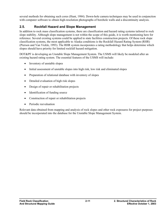<span id="page-28-0"></span>several methods for obtaining such cores (Hunt, 1984). Down-hole camera techniques may be used in conjunction with computer software to obtain high-resolution photographs of borehole walls and a discontinuity analysis.

# **2.5. Rockfall Hazard and Slope Management**

In addition to rock mass classification systems, there are classification and hazard rating systems tailored to rock slope stability. Although slope management is not within the scope of this guide, it is worth mentioning here for reference. Several existing systems could be applied to state facilities construction projects. Of these rock slope classification systems, the most applicable to Alaska conditions is the Rockfall Hazard Rating System (RHR) (Pierson and Van Vickle, 1993). The RHR system incorporates a rating methodology that helps determine which slopes should have priority for limited rockfall hazard mitigation.

DOT&PF is developing an Unstable Slope Management System. The USMS will likely be modeled after an existing hazard rating system. The essential features of the USMS will include:

- Inventory of unstable slopes
- Initial assessment of unstable slopes into high risk, low risk and eliminated slopes
- Preparation of relational database with inventory of slopes
- Detailed evaluation of high risk slopes
- Design of repair or rehabilitation projects
- Identification of funding source
- Construction of repair or rehabilitation projects
- Periodic reevaluation

Relevant data obtained from mapping and analysis of rock slopes and other rock exposures for project purposes should be incorporated into the database for the Unstable Slope Management System.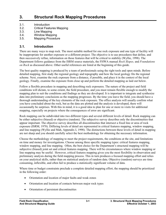# <span id="page-30-0"></span>**3. Structural Rock Mapping Procedures**

- 3.1. Introduction
- 3.2. Critical Features Mapping
- 3.3. Line Mapping
- 3.4. Window Mapping
- 3.5. Mapping Procedure

#### **3.1. Introduction**

There are many ways to map rock. The most suitable method for one rock exposure and one type of facility will be inappropriate for another exposure or a different project. The objective is to use procedures that define, and then successively refine, information on those features that will be critical to stability (Wyllie, 1998). The Department follows guidance from the ISRM source materials, the FHWA manual *Rock Slopes,* and *Foundations on Rock* as discussed above. Other useful references are listed at the beginning of this guide.

The best quality mapping is produced by a team of professionals using the right tools and open minds. Before detailed mapping, first study the regional geology and topography and how the local geology fits the regional scheme. Next, examine the rock exposure from a distance, if possible, and place it in the context of the local geology. Finally, examine the exposure from close up and perform the detailed mapping as laid out below.

Follow a flexible procedure in mapping and describing rock exposures. The nature of the project and field conditions will dictate, to some extent, the field procedure, and you must remain flexible enough to modify the mapping plan to suit the conditions and findings as they are developed. It is important to integrate and synthesize data into preliminary conclusions as the mapping progresses. By the time you leave the field, you should have a thorough understanding of the key elements of the rock exposure. The office analysis will usually confirm what you have concluded about the rock, but as the data are plotted and the analysis is developed, there will occasionally be surprises. With this in mind, it is a good idea to plan for one or more re-visits for additional mapping, especially on projects where the consequences of error are significant.

Rock mapping can be subdivided into two different types and several different levels of detail. Rock mapping can be either subjective (biased) or objective (random). The subjective survey describes only the discontinuities that appear important. The objective survey describes all discontinuities that intersect a fixed line or area of rock exposure (ISRM, 1978). Differing levels of detail are represented in critical features mapping, window mapping, and line mapping (Wyllie and Mah, Appendix I, 1998). The distinctions between these levels of detail in mapping are not sharp and you should carefully select the best methodology for obtaining the necessary information.

Choose the methodology of mapping to meet the project requirements, the conditions at the site, and limitations on time and money for investigations. Choose among three specific mapping types: critical features mapping, window mapping, and line mapping. Often, the best choice for the Department's structural mapping will be subjective (biased) joint set and critical features mapping. There will be circumstances where window mapping or line mapping may be useful. However, critical features mapping gives you the most flexibility in observation and preliminary analysis during the field mapping process. This in turn produces a focused mapping effort and relies on your analytical skills, rather than on statistical analysis of random data. Objective (random) surveys are time consuming, inflexible, and often fail to produce a statistically significant volume of data.

Where time or budget constraints preclude a complete detailed mapping effort, the mapping should be prioritized in the following order:

- Orientation and location of major faults and weak zones
- Orientation and location of contacts between major rock types
- Orientation of persistent discontinuities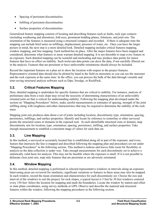- <span id="page-31-0"></span>• Spacing of persistent discontinuities
- Infilling of persistent discontinuities
- Surface properties of discontinuities

Generalized feature mapping consists of locating and describing features such as faults, rock type contacts (including weathering and alteration), fold axes, prominent bedding planes, foliations, and joint sets. The orientation of the features is measured using a structural compass and recorded. If there is adequate time the mapping can include brief notes on infillings, displacement, presence of water, etc. Once you have the larger picture in mind, the next step is a more detailed look. Detailed mapping includes critical features mapping, window mapping, and line mapping. Each method has its place. After the major features have been mapped and considered, determine what features or areas warrant detailed mapping. It is not desirable to map every feature in an exposure. Such detailed mapping can be wasteful and misleading and may produce data points for minor features that have no effect on stability. Such irrelevant data points can skew the data, if not carefully filtered out in the analysis. Features that are persistent or have unfavorable orientations should always be included.

Record the important features on a plan set to show the location with respect to the project features. Representative oriented data should also be plotted by hand in the field on stereonets so you can see the stereonet and the rock exposure at the same time. In the office, you can process the bulk of the data through versatile and time-saving structural analysis software such as Dips, Swedge, or RockPack.

# **3.2. Critical Features Mapping**

Here, detailed mapping is undertaken for specific features that are critical to stability. For instance, analysis of preliminary data from a rock slope may reveal the necessity of determining characteristics of an unfavorably oriented joint set that is critical for understanding stability. Following the mapping plan developed under the section on "Mapping Procedures" below, make careful measurements or estimates of spacing, strength of the joint infilling along with roughness and other characteristics that may be required to determine the stability of the rock mass.

Mapping joint sets produces data about a set of joints including location, discontinuity type, orientation, spacing, persistence, infillings, and surface properties. Identify and locate by reference to centerline or other surveyed points the structural zones or domains in the exposed rock. In each identifiable structural zone or domain, map discontinuity sets for location, type, orientation, spacing, persistence, infilling, and surface properties. Take enough measurement to establish a consistent range of values for each data set.

# **3.3. Line Mapping**

In this method, a surveyed or accurately located line is established along all or part of the exposure, and every feature that intersects the line is mapped and described following the mapping plan and procedures set out under "Mapping Procedures" in the following section. This method is tedious and leaves little room for flexibility or analysis as the data collection is under way. Take enough measurements for each discontinuity set to achieve a statistically valid basis for analysis. This may not be feasible where the exposure is small. If it is not possible to delineate clear joint sets, map only features that are persistent or are adversely orientated.

# **3.4. Window Mapping**

In this method, detailed mapping is performed in selected representative windows at intervals along an exposure. Intervening areas are reviewed for similarity; significant variations or features in these areas may also be mapped. In each window, record the mean orientation and characteristics for each discontinuity set. Choose the size and interval of the windows to suit the project; for rock slopes, a typical layout is 5 feet by 30 feet windows centered every 150 feet. Select the location for mapping and mark the boundaries. Locate the window by station and offset or state plane coordinates, using survey methods or GPS. Observe and describe the material and structural features within the window, following the mapping procedures in the following section.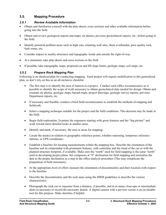# <span id="page-32-0"></span>**3.5. Mapping Procedure**

#### *3.5.1 Review Available Information*

- Obtain and familiarize yourself with the plan sheets, cross sections and other available information before going into the field.
- Obtain and review geological reports and maps, air photos, previous geotechnical reports, etc., before going to the field.
- Identify potential problem areas such as high cuts, retaining wall sites, thick overburden, poor quality rock, fault zones, etc.
- Consider impact to nearby structures and topography inside and outside the right-of-way.
- At a minimum, take plan sheets and cross sections to the field.
- If possible, take topographic maps, proposed cut and fill slope limits, geologic maps, soil maps, etc.

# *3.5.2 Prepare Rock Mapping Plan*

Following is an idealized plan for conducting mapping. Each project will require modification to this generalized plan, so don't rely on this as an all-inclusive checklist.

- The first step is to identify the area of interest in a project. Conduct such office reconnaissance as is possible to identify the scope of work necessary to obtain geotechnical data needed for design. Obtain and examine air photos, geologic maps, hazard maps, project drawings, geologic survey reports, previous Department reports, etc. •
- If necessary and feasible, conduct a brief field reconnaissance to establish the methods of mapping and fieldwork.
- Select a mapping technique suitable for the project and the field conditions. This decision may be made in the field.
- Begin field exploration. Examine the exposures starting with gross features and the "big picture" and work toward more detailed looks at smaller areas.
- Identify and mark, if necessary, the area or areas for mapping.
- Locate the area(s) in relation to geographic reference points, whether stationing, temporary reference stations, or GPS coordinates.
- Establish a baseline for locating measurements within the mapping box. Describe the orientation of the baseline and its relationship with prominent features, with centerline and the trend of the cut or with the planned structure footprint, if available. Make sure the "north" used for field mapping is the same "north" used in developing project plans. Set compasses at "0" declination for field mapping and normalize the data to the proper declination as a step in the office analysis procedure (This may complicate the preparation of field stereonets).
- At the appropriate level of effort, measure the orientation of discontinuities and their location with respect to the baseline.
- Describe the discontinuities and the rock mass using the ISRM guidelines to describe the various characteristics.
- Photograph the rock cut or exposure from a distance, if possible, and in as many close-ups or intermediate shots as necessary to record the necessary details. A digital camera with a preview screen is an invaluable tool for this purpose. Make sketches if helpful.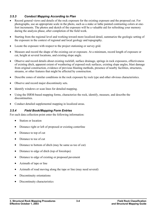#### <span id="page-33-0"></span>*3.5.3 Conduct Mapping According to Plan*

- Record general views and details of the rock exposure for the existing exposure and the proposed cut. For photographs, use an appropriate scale in the photo, such as a stake or lathe painted contrasting colors at onefoot increments. The photos and sketch of the exposure will be a valuable aid for refreshing your memory during the analysis phase, after completion of the field work.
- Starting from the regional level and working toward more localized detail, summarize the geologic setting of the exposure in the context of regional and local geology and topography.
- Locate the exposure with respect to the project stationing or survey grid.
- Measure and record the shape of the existing cut or exposure. At a minimum, record length of exposure or cut, height at several locations, and existing slope angle.
- Observe and record details about existing rockfall, surface drainage, springs in rock exposures, effectiveness of existing ditch, apparent extent of weathering of exposed rock surfaces, existing slope angles, blast damage from original construction, evidence of previous blasting methods, presence of nearby facilities, structures, streams, or other features that might be affected by construction.
- Describe zones of similar conditions in the rock exposure by rock type and other obvious characteristics.
- Observe and record major discontinuity sets.
- Identify windows or scan lines for detailed mapping.
- Using the ISRM-based mapping forms, characterize the rock, identify, measure, and describe the discontinuities.
- Conduct detailed supplemental mapping in localized areas.

#### *3.5.4 Field Book/Mapping Form Entries*

For each data collection point enter the following information:

- Station or location
- Distance right or left of proposed or existing centerline
- Distance to top of cut
- Distance to toe of cut
- Distance to bottom of ditch (may be same as toe of cut)
- Distance to edge of ditch (top of foreslope)
- Distance to edge of existing or proposed pavement
- Azimuth of tape or line
- Azimuth of road moving along the tape or line (may need several)
- Discontinuity orientations
- Discontinuity characteristics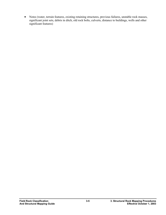• Notes (water, terrain features, existing retaining structures, previous failures, unstable rock masses, significant joint sets, debris in ditch, old rock bolts, culverts, distance to buildings, wells and other significant features)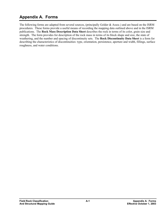# <span id="page-36-0"></span>**Appendix A. Forms**

The following forms are adapted from several sources, (principally Golder & Assoc.) and are based on the ISRM procedures. These forms provide a useful means of recording the mapping data outlined above and in the ISRM publications. The **Rock Mass Description Data Sheet** describes the rock in terms of its color, grain size and strength. The form provides for description of the rock mass in terms of its block shape and size, the state of weathering, and the number and spacing of discontinuity sets. The **Rock Discontinuity Data Sheet** is a form for describing the characteristics of discontinuities: type, orientation, persistence, aperture and width, fillings, surface roughness, and water conditions.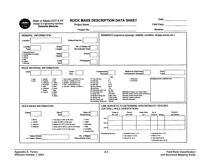